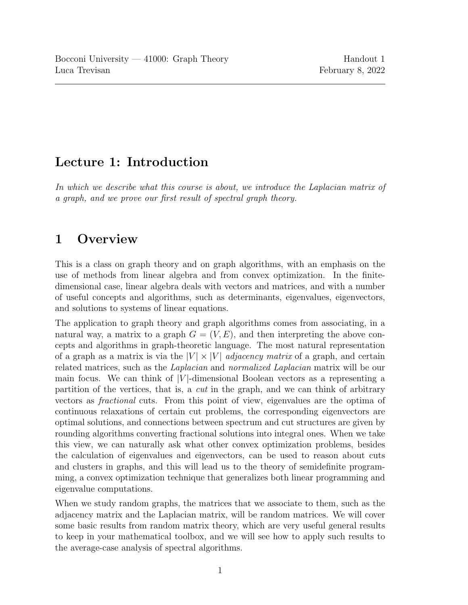# Lecture 1: Introduction

In which we describe what this course is about, we introduce the Laplacian matrix of a graph, and we prove our first result of spectral graph theory.

# 1 Overview

This is a class on graph theory and on graph algorithms, with an emphasis on the use of methods from linear algebra and from convex optimization. In the finitedimensional case, linear algebra deals with vectors and matrices, and with a number of useful concepts and algorithms, such as determinants, eigenvalues, eigenvectors, and solutions to systems of linear equations.

The application to graph theory and graph algorithms comes from associating, in a natural way, a matrix to a graph  $G = (V, E)$ , and then interpreting the above concepts and algorithms in graph-theoretic language. The most natural representation of a graph as a matrix is via the  $|V| \times |V|$  *adjacency matrix* of a graph, and certain related matrices, such as the Laplacian and normalized Laplacian matrix will be our main focus. We can think of  $|V|$ -dimensional Boolean vectors as a representing a partition of the vertices, that is, a cut in the graph, and we can think of arbitrary vectors as fractional cuts. From this point of view, eigenvalues are the optima of continuous relaxations of certain cut problems, the corresponding eigenvectors are optimal solutions, and connections between spectrum and cut structures are given by rounding algorithms converting fractional solutions into integral ones. When we take this view, we can naturally ask what other convex optimization problems, besides the calculation of eigenvalues and eigenvectors, can be used to reason about cuts and clusters in graphs, and this will lead us to the theory of semidefinite programming, a convex optimization technique that generalizes both linear programming and eigenvalue computations.

When we study random graphs, the matrices that we associate to them, such as the adjacency matrix and the Laplacian matrix, will be random matrices. We will cover some basic results from random matrix theory, which are very useful general results to keep in your mathematical toolbox, and we will see how to apply such results to the average-case analysis of spectral algorithms.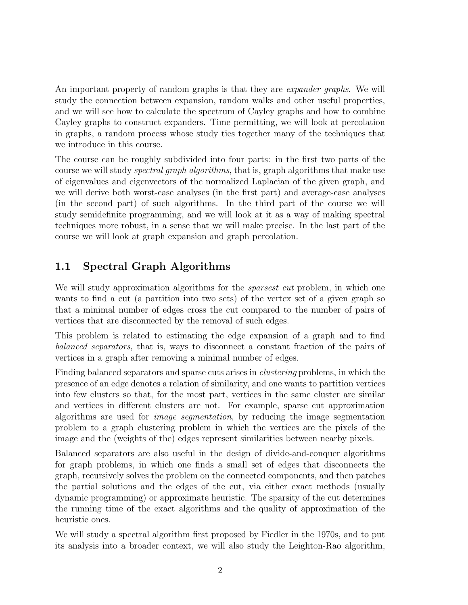An important property of random graphs is that they are *expander graphs*. We will study the connection between expansion, random walks and other useful properties, and we will see how to calculate the spectrum of Cayley graphs and how to combine Cayley graphs to construct expanders. Time permitting, we will look at percolation in graphs, a random process whose study ties together many of the techniques that we introduce in this course.

The course can be roughly subdivided into four parts: in the first two parts of the course we will study *spectral graph algorithms*, that is, graph algorithms that make use of eigenvalues and eigenvectors of the normalized Laplacian of the given graph, and we will derive both worst-case analyses (in the first part) and average-case analyses (in the second part) of such algorithms. In the third part of the course we will study semidefinite programming, and we will look at it as a way of making spectral techniques more robust, in a sense that we will make precise. In the last part of the course we will look at graph expansion and graph percolation.

## 1.1 Spectral Graph Algorithms

We will study approximation algorithms for the *sparsest cut* problem, in which one wants to find a cut (a partition into two sets) of the vertex set of a given graph so that a minimal number of edges cross the cut compared to the number of pairs of vertices that are disconnected by the removal of such edges.

This problem is related to estimating the edge expansion of a graph and to find balanced separators, that is, ways to disconnect a constant fraction of the pairs of vertices in a graph after removing a minimal number of edges.

Finding balanced separators and sparse cuts arises in clustering problems, in which the presence of an edge denotes a relation of similarity, and one wants to partition vertices into few clusters so that, for the most part, vertices in the same cluster are similar and vertices in different clusters are not. For example, sparse cut approximation algorithms are used for image segmentation, by reducing the image segmentation problem to a graph clustering problem in which the vertices are the pixels of the image and the (weights of the) edges represent similarities between nearby pixels.

Balanced separators are also useful in the design of divide-and-conquer algorithms for graph problems, in which one finds a small set of edges that disconnects the graph, recursively solves the problem on the connected components, and then patches the partial solutions and the edges of the cut, via either exact methods (usually dynamic programming) or approximate heuristic. The sparsity of the cut determines the running time of the exact algorithms and the quality of approximation of the heuristic ones.

We will study a spectral algorithm first proposed by Fiedler in the 1970s, and to put its analysis into a broader context, we will also study the Leighton-Rao algorithm,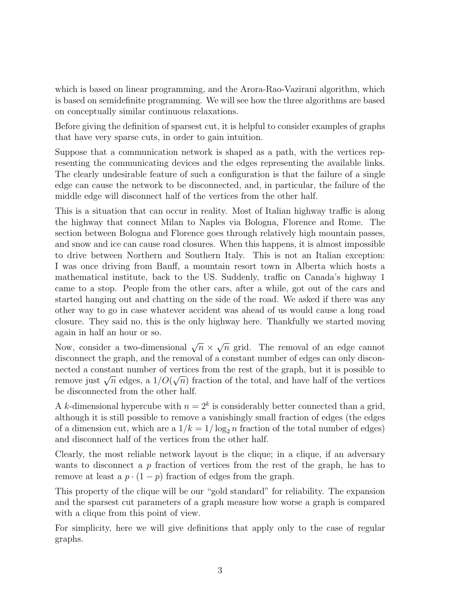which is based on linear programming, and the Arora-Rao-Vazirani algorithm, which is based on semidefinite programming. We will see how the three algorithms are based on conceptually similar continuous relaxations.

Before giving the definition of sparsest cut, it is helpful to consider examples of graphs that have very sparse cuts, in order to gain intuition.

Suppose that a communication network is shaped as a path, with the vertices representing the communicating devices and the edges representing the available links. The clearly undesirable feature of such a configuration is that the failure of a single edge can cause the network to be disconnected, and, in particular, the failure of the middle edge will disconnect half of the vertices from the other half.

This is a situation that can occur in reality. Most of Italian highway traffic is along the highway that connect Milan to Naples via Bologna, Florence and Rome. The section between Bologna and Florence goes through relatively high mountain passes, and snow and ice can cause road closures. When this happens, it is almost impossible to drive between Northern and Southern Italy. This is not an Italian exception: I was once driving from Banff, a mountain resort town in Alberta which hosts a mathematical institute, back to the US. Suddenly, traffic on Canada's highway 1 came to a stop. People from the other cars, after a while, got out of the cars and started hanging out and chatting on the side of the road. We asked if there was any other way to go in case whatever accident was ahead of us would cause a long road closure. They said no, this is the only highway here. Thankfully we started moving again in half an hour or so.

Now, consider a two-dimensional  $\sqrt{n} \times$ √  $\overline{n}$  grid. The removal of an edge cannot disconnect the graph, and the removal of a constant number of edges can only disconnected a constant number of vertices from the rest of the graph, but it is possible to remove just  $\sqrt{n}$  edges, a  $1/O(\sqrt{n})$  fraction of the total, and have half of the vertices be disconnected from the other half.

A k-dimensional hypercube with  $n = 2<sup>k</sup>$  is considerably better connected than a grid, although it is still possible to remove a vanishingly small fraction of edges (the edges of a dimension cut, which are a  $1/k = 1/\log_2 n$  fraction of the total number of edges) and disconnect half of the vertices from the other half.

Clearly, the most reliable network layout is the clique; in a clique, if an adversary wants to disconnect a  $p$  fraction of vertices from the rest of the graph, he has to remove at least a  $p \cdot (1-p)$  fraction of edges from the graph.

This property of the clique will be our "gold standard" for reliability. The expansion and the sparsest cut parameters of a graph measure how worse a graph is compared with a clique from this point of view.

For simplicity, here we will give definitions that apply only to the case of regular graphs.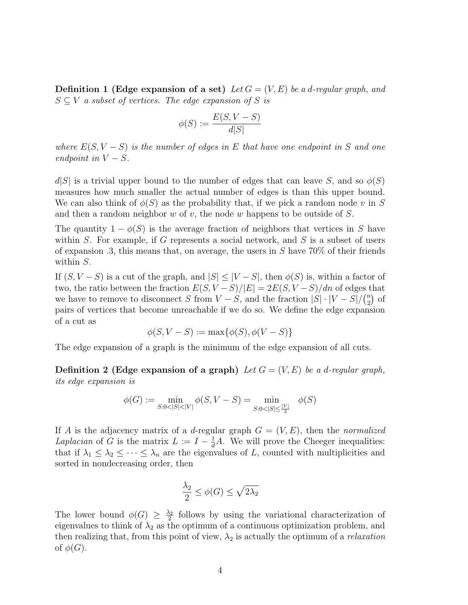**Definition 1 (Edge expansion of a set)** Let  $G = (V, E)$  be a d-regular graph, and  $S \subseteq V$  a subset of vertices. The edge expansion of S is

$$
\phi(S) := \frac{E(S, V - S)}{d|S|}
$$

where  $E(S, V - S)$  is the number of edges in E that have one endpoint in S and one endpoint in  $V - S$ .

 $d|S|$  is a trivial upper bound to the number of edges that can leave S, and so  $\phi(S)$ measures how much smaller the actual number of edges is than this upper bound. We can also think of  $\phi(S)$  as the probability that, if we pick a random node v in S and then a random neighbor  $w$  of  $v$ , the node  $w$  happens to be outside of  $S$ .

The quantity  $1 - \phi(S)$  is the average fraction of neighbors that vertices in S have within  $S$ . For example, if  $G$  represents a social network, and  $S$  is a subset of users of expansion .3, this means that, on average, the users in  $S$  have 70% of their friends within S.

If  $(S, V - S)$  is a cut of the graph, and  $|S| \leq |V - S|$ , then  $\phi(S)$  is, within a factor of two, the ratio between the fraction  $E(S, V-S)/|E| = 2E(S, V-S)/dn$  of edges that we have to remove to disconnect S from  $V - S$ , and the fraction  $|S| \cdot |V - S| / {\binom{n}{2}}$  $n \choose 2$  of pairs of vertices that become unreachable if we do so. We define the edge expansion of a cut as

$$
\phi(S, V - S) := \max\{\phi(S), \phi(V - S)\}
$$

The edge expansion of a graph is the minimum of the edge expansion of all cuts.

**Definition 2 (Edge expansion of a graph)** Let  $G = (V, E)$  be a d-regular graph, its edge expansion is

$$
\phi(G) := \min_{S:0 < |S| < |V|} \phi(S, V - S) = \min_{S:0 < |S| \le \frac{|V|}{2}} \phi(S)
$$

If A is the adjacency matrix of a d-regular graph  $G = (V, E)$ , then the normalized Laplacian of G is the matrix  $L := I - \frac{1}{d}A$ . We will prove the Cheeger inequalities: that if  $\lambda_1 \leq \lambda_2 \leq \cdots \leq \lambda_n$  are the eigenvalues of L, counted with multiplicities and sorted in nondecreasing order, then

$$
\frac{\lambda_2}{2} \le \phi(G) \le \sqrt{2\lambda_2}
$$

The lower bound  $\phi(G) \geq \frac{\lambda_2}{2}$  $\frac{\lambda_2}{2}$  follows by using the variational characterization of eigenvalues to think of  $\lambda_2$  as the optimum of a continuous optimization problem, and then realizing that, from this point of view,  $\lambda_2$  is actually the optimum of a *relaxation* of  $\phi(G)$ .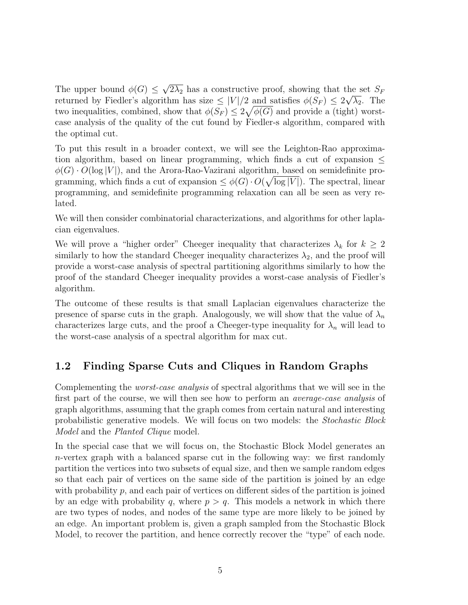The upper bound  $\phi(G) \leq$ √  $2\lambda_2$  has a constructive proof, showing that the set  $S_F$ returned by Fiedler's algorithm has size  $\leq |V|/2$  and satisfies  $\phi(S_F) \leq 2\sqrt{\lambda_2}$ . The two inequalities, combined, show that  $\phi(S_F) \leq 2\sqrt{\phi(G)}$  and provide a (tight) worstcase analysis of the quality of the cut found by Fiedler-s algorithm, compared with the optimal cut.

To put this result in a broader context, we will see the Leighton-Rao approximation algorithm, based on linear programming, which finds a cut of expansion  $\leq$  $\phi(G) \cdot O(\log |V|)$ , and the Arora-Rao-Vazirani algorithm, based on semidefinite programming, which finds a cut of expansion  $\leq \phi(G) \cdot O(\sqrt{\log |V|})$ . The spectral, linear programming, and semidefinite programming relaxation can all be seen as very related.

We will then consider combinatorial characterizations, and algorithms for other laplacian eigenvalues.

We will prove a "higher order" Cheeger inequality that characterizes  $\lambda_k$  for  $k \geq 2$ similarly to how the standard Cheeger inequality characterizes  $\lambda_2$ , and the proof will provide a worst-case analysis of spectral partitioning algorithms similarly to how the proof of the standard Cheeger inequality provides a worst-case analysis of Fiedler's algorithm.

The outcome of these results is that small Laplacian eigenvalues characterize the presence of sparse cuts in the graph. Analogously, we will show that the value of  $\lambda_n$ characterizes large cuts, and the proof a Cheeger-type inequality for  $\lambda_n$  will lead to the worst-case analysis of a spectral algorithm for max cut.

## 1.2 Finding Sparse Cuts and Cliques in Random Graphs

Complementing the worst-case analysis of spectral algorithms that we will see in the first part of the course, we will then see how to perform an average-case analysis of graph algorithms, assuming that the graph comes from certain natural and interesting probabilistic generative models. We will focus on two models: the Stochastic Block Model and the *Planted Clique* model.

In the special case that we will focus on, the Stochastic Block Model generates an n-vertex graph with a balanced sparse cut in the following way: we first randomly partition the vertices into two subsets of equal size, and then we sample random edges so that each pair of vertices on the same side of the partition is joined by an edge with probability  $p$ , and each pair of vertices on different sides of the partition is joined by an edge with probability q, where  $p > q$ . This models a network in which there are two types of nodes, and nodes of the same type are more likely to be joined by an edge. An important problem is, given a graph sampled from the Stochastic Block Model, to recover the partition, and hence correctly recover the "type" of each node.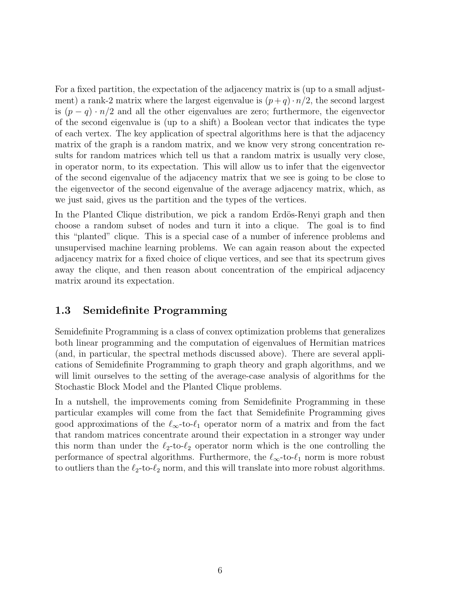For a fixed partition, the expectation of the adjacency matrix is (up to a small adjustment) a rank-2 matrix where the largest eigenvalue is  $(p+q) \cdot n/2$ , the second largest is  $(p - q) \cdot n/2$  and all the other eigenvalues are zero; furthermore, the eigenvector of the second eigenvalue is (up to a shift) a Boolean vector that indicates the type of each vertex. The key application of spectral algorithms here is that the adjacency matrix of the graph is a random matrix, and we know very strong concentration results for random matrices which tell us that a random matrix is usually very close, in operator norm, to its expectation. This will allow us to infer that the eigenvector of the second eigenvalue of the adjacency matrix that we see is going to be close to the eigenvector of the second eigenvalue of the average adjacency matrix, which, as we just said, gives us the partition and the types of the vertices.

In the Planted Clique distribution, we pick a random Erdös-Renyi graph and then choose a random subset of nodes and turn it into a clique. The goal is to find this "planted" clique. This is a special case of a number of inference problems and unsupervised machine learning problems. We can again reason about the expected adjacency matrix for a fixed choice of clique vertices, and see that its spectrum gives away the clique, and then reason about concentration of the empirical adjacency matrix around its expectation.

### 1.3 Semidefinite Programming

Semidefinite Programming is a class of convex optimization problems that generalizes both linear programming and the computation of eigenvalues of Hermitian matrices (and, in particular, the spectral methods discussed above). There are several applications of Semidefinite Programming to graph theory and graph algorithms, and we will limit ourselves to the setting of the average-case analysis of algorithms for the Stochastic Block Model and the Planted Clique problems.

In a nutshell, the improvements coming from Semidefinite Programming in these particular examples will come from the fact that Semidefinite Programming gives good approximations of the  $\ell_{\infty}$ -to- $\ell_1$  operator norm of a matrix and from the fact that random matrices concentrate around their expectation in a stronger way under this norm than under the  $\ell_2$ -to- $\ell_2$  operator norm which is the one controlling the performance of spectral algorithms. Furthermore, the  $\ell_{\infty}$ -to- $\ell_1$  norm is more robust to outliers than the  $\ell_2$ -to- $\ell_2$  norm, and this will translate into more robust algorithms.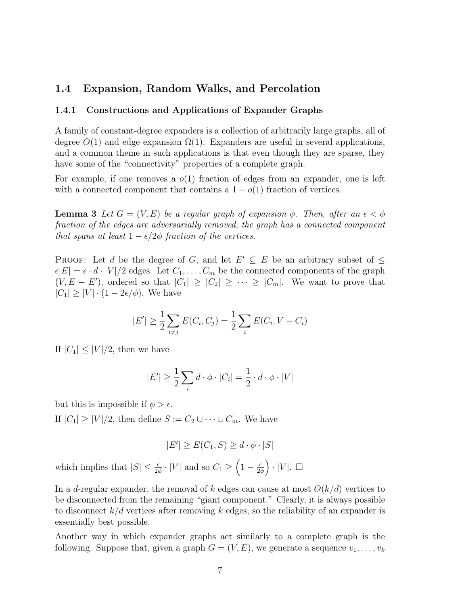### 1.4 Expansion, Random Walks, and Percolation

#### 1.4.1 Constructions and Applications of Expander Graphs

A family of constant-degree expanders is a collection of arbitrarily large graphs, all of degree  $O(1)$  and edge expansion  $\Omega(1)$ . Expanders are useful in several applications, and a common theme in such applications is that even though they are sparse, they have some of the "connectivity" properties of a complete graph.

For example, if one removes a  $o(1)$  fraction of edges from an expander, one is left with a connected component that contains a  $1 - o(1)$  fraction of vertices.

**Lemma 3** Let  $G = (V, E)$  be a regular graph of expansion  $\phi$ . Then, after an  $\epsilon < \phi$ fraction of the edges are adversarially removed, the graph has a connected component that spans at least  $1 - \epsilon/2\phi$  fraction of the vertices.

PROOF: Let d be the degree of G, and let  $E' \subseteq E$  be an arbitrary subset of  $\leq$  $|\epsilon|E| = \epsilon \cdot d \cdot |V|/2$  edges. Let  $C_1, \ldots, C_m$  be the connected components of the graph  $(V, E - E')$ , ordered so that  $|C_1| \geq |C_2| \geq \cdots \geq |C_m|$ . We want to prove that  $|C_1| \geq |V| \cdot (1 - 2\epsilon/\phi)$ . We have

$$
|E'| \ge \frac{1}{2} \sum_{i \ne j} E(C_i, C_j) = \frac{1}{2} \sum_i E(C_i, V - C_i)
$$

If  $|C_1| \leq |V|/2$ , then we have

$$
|E'| \ge \frac{1}{2} \sum_{i} d \cdot \phi \cdot |C_i| = \frac{1}{2} \cdot d \cdot \phi \cdot |V|
$$

but this is impossible if  $\phi > \epsilon$ .

If  $|C_1| \geq |V|/2$ , then define  $S := C_2 \cup \cdots \cup C_m$ . We have

$$
|E'| \ge E(C_1, S) \ge d \cdot \phi \cdot |S|
$$

which implies that  $|S| \leq \frac{\epsilon}{2\phi} \cdot |V|$  and so  $C_1 \geq \left(1 - \frac{\epsilon}{2\phi}\right)$  $\frac{\epsilon}{2\phi}$   $\Big) \cdot |V|$ .  $\Box$ 

In a d-regular expander, the removal of k edges can cause at most  $O(k/d)$  vertices to be disconnected from the remaining "giant component." Clearly, it is always possible to disconnect  $k/d$  vertices after removing k edges, so the reliability of an expander is essentially best possible.

Another way in which expander graphs act similarly to a complete graph is the following. Suppose that, given a graph  $G = (V, E)$ , we generate a sequence  $v_1, \ldots, v_k$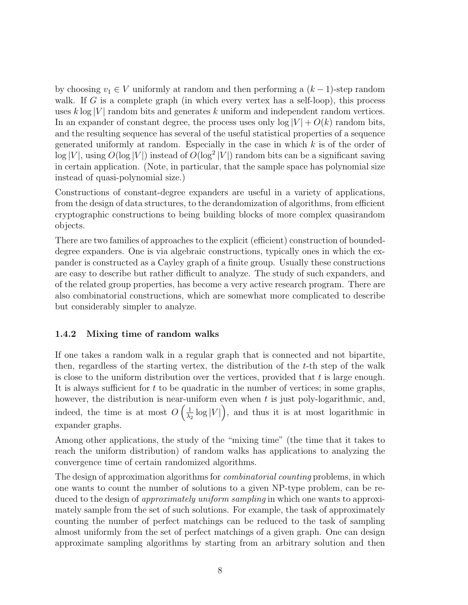by choosing  $v_1 \in V$  uniformly at random and then performing a  $(k-1)$ -step random walk. If  $G$  is a complete graph (in which every vertex has a self-loop), this process uses  $k \log |V|$  random bits and generates k uniform and independent random vertices. In an expander of constant degree, the process uses only  $\log |V| + O(k)$  random bits, and the resulting sequence has several of the useful statistical properties of a sequence generated uniformly at random. Especially in the case in which  $k$  is of the order of  $\log |V|$ , using  $O(\log |V|)$  instead of  $O(\log^2 |V|)$  random bits can be a significant saving in certain application. (Note, in particular, that the sample space has polynomial size instead of quasi-polynomial size.)

Constructions of constant-degree expanders are useful in a variety of applications, from the design of data structures, to the derandomization of algorithms, from efficient cryptographic constructions to being building blocks of more complex quasirandom objects.

There are two families of approaches to the explicit (efficient) construction of boundeddegree expanders. One is via algebraic constructions, typically ones in which the expander is constructed as a Cayley graph of a finite group. Usually these constructions are easy to describe but rather difficult to analyze. The study of such expanders, and of the related group properties, has become a very active research program. There are also combinatorial constructions, which are somewhat more complicated to describe but considerably simpler to analyze.

#### 1.4.2 Mixing time of random walks

If one takes a random walk in a regular graph that is connected and not bipartite, then, regardless of the starting vertex, the distribution of the  $t$ -th step of the walk is close to the uniform distribution over the vertices, provided that  $t$  is large enough. It is always sufficient for  $t$  to be quadratic in the number of vertices; in some graphs, however, the distribution is near-uniform even when  $t$  is just poly-logarithmic, and, indeed, the time is at most  $O\left(\frac{1}{\lambda}\right)$  $\frac{1}{\lambda_2} \log |V|$ , and thus it is at most logarithmic in expander graphs.

Among other applications, the study of the "mixing time" (the time that it takes to reach the uniform distribution) of random walks has applications to analyzing the convergence time of certain randomized algorithms.

The design of approximation algorithms for *combinatorial counting* problems, in which one wants to count the number of solutions to a given NP-type problem, can be reduced to the design of *approximately uniform sampling* in which one wants to approximately sample from the set of such solutions. For example, the task of approximately counting the number of perfect matchings can be reduced to the task of sampling almost uniformly from the set of perfect matchings of a given graph. One can design approximate sampling algorithms by starting from an arbitrary solution and then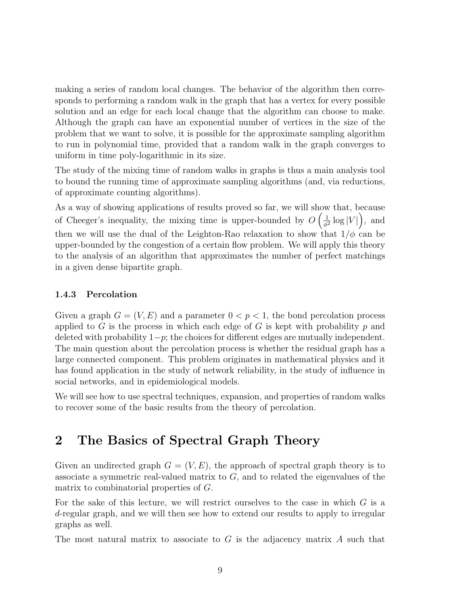making a series of random local changes. The behavior of the algorithm then corresponds to performing a random walk in the graph that has a vertex for every possible solution and an edge for each local change that the algorithm can choose to make. Although the graph can have an exponential number of vertices in the size of the problem that we want to solve, it is possible for the approximate sampling algorithm to run in polynomial time, provided that a random walk in the graph converges to uniform in time poly-logarithmic in its size.

The study of the mixing time of random walks in graphs is thus a main analysis tool to bound the running time of approximate sampling algorithms (and, via reductions, of approximate counting algorithms).

As a way of showing applications of results proved so far, we will show that, because of Cheeger's inequality, the mixing time is upper-bounded by  $O\left(\frac{1}{\phi}\right)$  $\frac{1}{\phi^2} \log |V|$ , and then we will use the dual of the Leighton-Rao relaxation to show that  $1/\phi$  can be upper-bounded by the congestion of a certain flow problem. We will apply this theory to the analysis of an algorithm that approximates the number of perfect matchings in a given dense bipartite graph.

#### 1.4.3 Percolation

Given a graph  $G = (V, E)$  and a parameter  $0 < p < 1$ , the bond percolation process applied to G is the process in which each edge of G is kept with probability  $p$  and deleted with probability  $1-p$ ; the choices for different edges are mutually independent. The main question about the percolation process is whether the residual graph has a large connected component. This problem originates in mathematical physics and it has found application in the study of network reliability, in the study of influence in social networks, and in epidemiological models.

We will see how to use spectral techniques, expansion, and properties of random walks to recover some of the basic results from the theory of percolation.

## 2 The Basics of Spectral Graph Theory

Given an undirected graph  $G = (V, E)$ , the approach of spectral graph theory is to associate a symmetric real-valued matrix to  $G$ , and to related the eigenvalues of the matrix to combinatorial properties of G.

For the sake of this lecture, we will restrict ourselves to the case in which  $G$  is a d-regular graph, and we will then see how to extend our results to apply to irregular graphs as well.

The most natural matrix to associate to  $G$  is the adjacency matrix  $A$  such that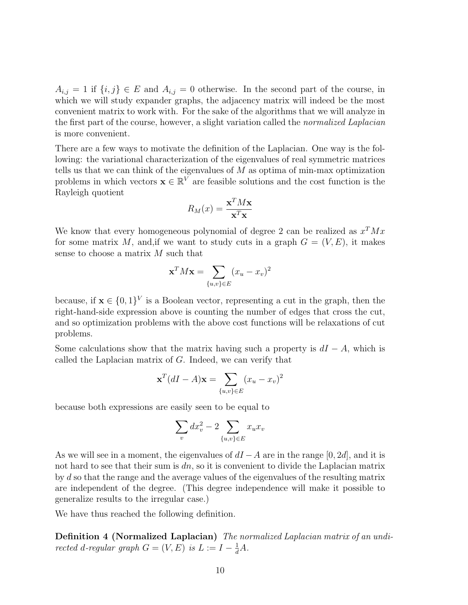$A_{i,j} = 1$  if  $\{i,j\} \in E$  and  $A_{i,j} = 0$  otherwise. In the second part of the course, in which we will study expander graphs, the adjacency matrix will indeed be the most convenient matrix to work with. For the sake of the algorithms that we will analyze in the first part of the course, however, a slight variation called the normalized Laplacian is more convenient.

There are a few ways to motivate the definition of the Laplacian. One way is the following: the variational characterization of the eigenvalues of real symmetric matrices tells us that we can think of the eigenvalues of  $M$  as optima of min-max optimization problems in which vectors  $\mathbf{x} \in \mathbb{R}^V$  are feasible solutions and the cost function is the Rayleigh quotient

$$
R_M(x) = \frac{\mathbf{x}^T M \mathbf{x}}{\mathbf{x}^T \mathbf{x}}
$$

We know that every homogeneous polynomial of degree 2 can be realized as  $x^T M x$ for some matrix M, and, if we want to study cuts in a graph  $G = (V, E)$ , it makes sense to choose a matrix M such that

$$
\mathbf{x}^T M \mathbf{x} = \sum_{\{u,v\} \in E} (x_u - x_v)^2
$$

because, if  $\mathbf{x} \in \{0,1\}^V$  is a Boolean vector, representing a cut in the graph, then the right-hand-side expression above is counting the number of edges that cross the cut, and so optimization problems with the above cost functions will be relaxations of cut problems.

Some calculations show that the matrix having such a property is  $dI - A$ , which is called the Laplacian matrix of G. Indeed, we can verify that

$$
\mathbf{x}^T(dI - A)\mathbf{x} = \sum_{\{u,v\} \in E} (x_u - x_v)^2
$$

because both expressions are easily seen to be equal to

$$
\sum_{v} dx_v^2 - 2 \sum_{\{u,v\} \in E} x_u x_v
$$

As we will see in a moment, the eigenvalues of  $dI - A$  are in the range  $[0, 2d]$ , and it is not hard to see that their sum is  $dn$ , so it is convenient to divide the Laplacian matrix by d so that the range and the average values of the eigenvalues of the resulting matrix are independent of the degree. (This degree independence will make it possible to generalize results to the irregular case.)

We have thus reached the following definition.

Definition 4 (Normalized Laplacian) The normalized Laplacian matrix of an undirected d-regular graph  $G = (V, E)$  is  $L := I - \frac{1}{d}A$ .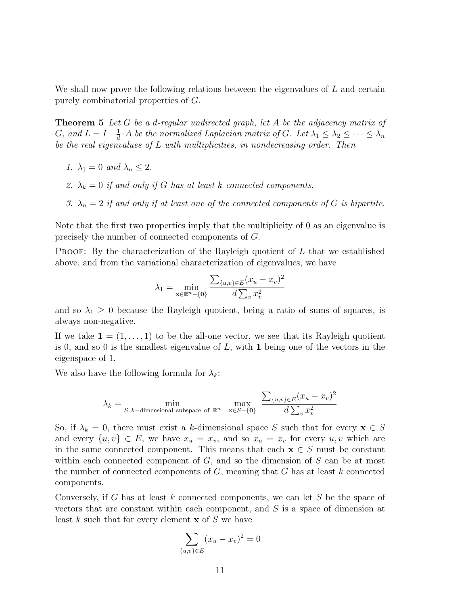We shall now prove the following relations between the eigenvalues of  $L$  and certain purely combinatorial properties of G.

**Theorem 5** Let G be a d-regular undirected graph, let A be the adjacency matrix of G, and  $L = I - \frac{1}{d}$  $\frac{1}{d}$  · A be the normalized Laplacian matrix of G. Let  $\lambda_1 \leq \lambda_2 \leq \cdots \leq \lambda_n$ be the real eigenvalues of L with multiplicities, in nondecreasing order. Then

- 1.  $\lambda_1 = 0$  and  $\lambda_n \leq 2$ .
- 2.  $\lambda_k = 0$  if and only if G has at least k connected components.
- 3.  $\lambda_n = 2$  if and only if at least one of the connected components of G is bipartite.

Note that the first two properties imply that the multiplicity of 0 as an eigenvalue is precisely the number of connected components of G.

**PROOF:** By the characterization of the Rayleigh quotient of  $L$  that we established above, and from the variational characterization of eigenvalues, we have

$$
\lambda_1 = \min_{\mathbf{x} \in \mathbb{R}^n - \{\mathbf{0}\}} \frac{\sum_{\{u,v\} \in E} (x_u - x_v)^2}{d \sum_{v} x_v^2}
$$

and so  $\lambda_1 \geq 0$  because the Rayleigh quotient, being a ratio of sums of squares, is always non-negative.

If we take  $\mathbf{1} = (1, \ldots, 1)$  to be the all-one vector, we see that its Rayleigh quotient is 0, and so 0 is the smallest eigenvalue of  $L$ , with 1 being one of the vectors in the eigenspace of 1.

We also have the following formula for  $\lambda_k$ :

$$
\lambda_k = \min_{S \text{ } k-\text{dimensional subspace of } \mathbb{R}^n} \quad \max_{\mathbf{x} \in S-\{\mathbf{0}\}} \quad \frac{\sum_{\{u,v\} \in E} (x_u - x_v)^2}{d \sum_{v} x_v^2}
$$

So, if  $\lambda_k = 0$ , there must exist a k-dimensional space S such that for every  $\mathbf{x} \in S$ and every  $\{u, v\} \in E$ , we have  $x_u = x_v$ , and so  $x_u = x_v$  for every  $u, v$  which are in the same connected component. This means that each  $x \in S$  must be constant within each connected component of  $G$ , and so the dimension of  $S$  can be at most the number of connected components of  $G$ , meaning that  $G$  has at least  $k$  connected components.

Conversely, if G has at least k connected components, we can let S be the space of vectors that are constant within each component, and S is a space of dimension at least  $k$  such that for every element  $x$  of  $S$  we have

$$
\sum_{\{u,v\} \in E} (x_u - x_v)^2 = 0
$$